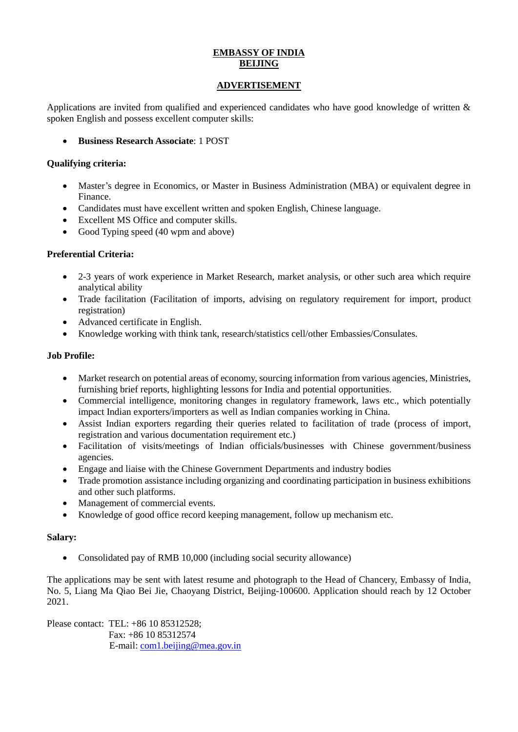## **EMBASSY OF INDIA BEIJING**

#### **ADVERTISEMENT**

Applications are invited from qualified and experienced candidates who have good knowledge of written & spoken English and possess excellent computer skills:

**Business Research Associate**: 1 POST

### **Qualifying criteria:**

- Master's degree in Economics, or Master in Business Administration (MBA) or equivalent degree in Finance.
- Candidates must have excellent written and spoken English, Chinese language.
- Excellent MS Office and computer skills.
- Good Typing speed (40 wpm and above)

### **Preferential Criteria:**

- 2-3 years of work experience in Market Research, market analysis, or other such area which require analytical ability
- Trade facilitation (Facilitation of imports, advising on regulatory requirement for import, product registration)
- Advanced certificate in English.
- Knowledge working with think tank, research/statistics cell/other Embassies/Consulates.

### **Job Profile:**

- Market research on potential areas of economy, sourcing information from various agencies, Ministries, furnishing brief reports, highlighting lessons for India and potential opportunities.
- Commercial intelligence, monitoring changes in regulatory framework, laws etc., which potentially impact Indian exporters/importers as well as Indian companies working in China.
- Assist Indian exporters regarding their queries related to facilitation of trade (process of import, registration and various documentation requirement etc.)
- Facilitation of visits/meetings of Indian officials/businesses with Chinese government/business agencies.
- Engage and liaise with the Chinese Government Departments and industry bodies
- Trade promotion assistance including organizing and coordinating participation in business exhibitions and other such platforms.
- Management of commercial events.
- Knowledge of good office record keeping management, follow up mechanism etc.

#### **Salary:**

Consolidated pay of RMB 10,000 (including social security allowance)

The applications may be sent with latest resume and photograph to the Head of Chancery, Embassy of India, No. 5, Liang Ma Qiao Bei Jie, Chaoyang District, Beijing-100600. Application should reach by 12 October 2021.

Please contact: TEL: +86 10 85312528; Fax: +86 10 85312574 E-mail: [com1.beijing@mea.gov.in](mailto:com1.beijing@mea.gov.in)